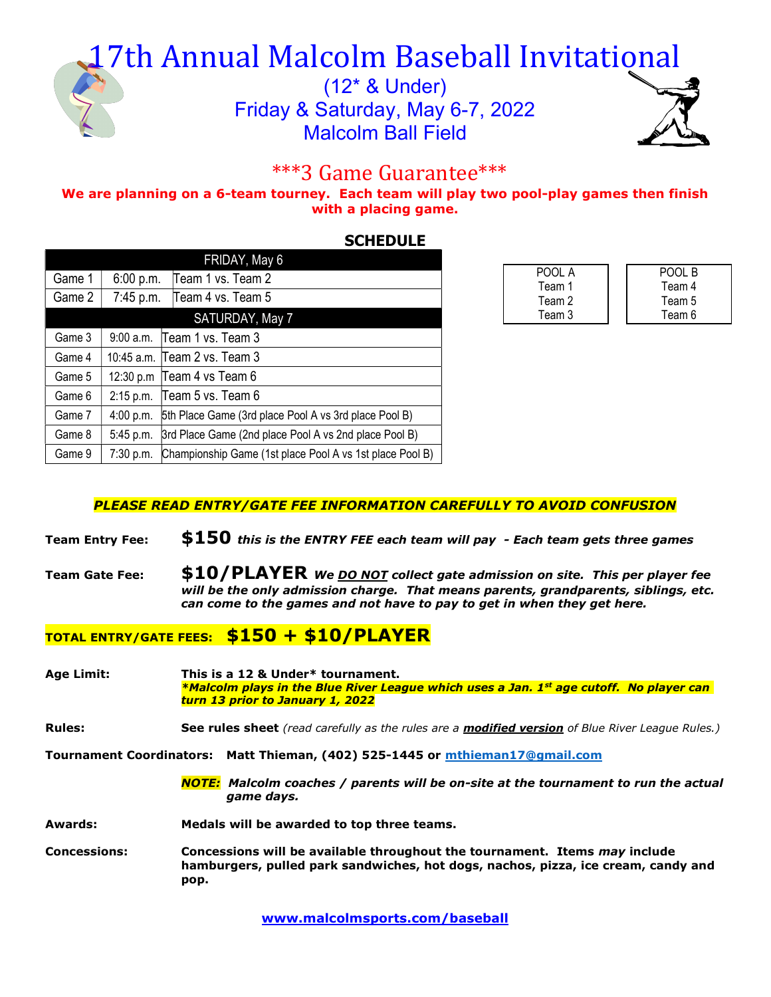# 17th Annual Malcolm Baseball Invitational

(12\* & Under) Friday & Saturday, May 6-7, 2022 Malcolm Ball Field



### \*\*\*3 Game Guarantee\*\*\*

We are planning on a 6-team tourney. Each team will play two pool-play games then finish with a placing game.

| <b>SCHEDULE</b> |
|-----------------|
|-----------------|

|                     |        | FRIDAY, May 6 |                                                          |  |  |  |  |
|---------------------|--------|---------------|----------------------------------------------------------|--|--|--|--|
|                     | Game 1 | 6:00 p.m.     | Team 1 vs. Team 2                                        |  |  |  |  |
|                     | Game 2 | 7:45 p.m.     | Team 4 vs. Team 5                                        |  |  |  |  |
|                     |        |               | SATURDAY, May 7                                          |  |  |  |  |
|                     | Game 3 | 9:00a.m.      | Team 1 vs. Team 3                                        |  |  |  |  |
|                     | Game 4 |               | 10:45 a.m. Team 2 vs. Team 3                             |  |  |  |  |
|                     | Game 5 |               | 12:30 p.m $\sqrt{2}$ Team 4 vs Team 6                    |  |  |  |  |
|                     | Game 6 | 2:15 p.m.     | Team 5 vs. Team 6                                        |  |  |  |  |
|                     | Game 7 | 4:00 p.m.     | 5th Place Game (3rd place Pool A vs 3rd place Pool B)    |  |  |  |  |
|                     | Game 8 | 5:45 p.m.     | 3rd Place Game (2nd place Pool A vs 2nd place Pool B)    |  |  |  |  |
| Game 9<br>7:30 p.m. |        |               | Championship Game (1st place Pool A vs 1st place Pool B) |  |  |  |  |

| POOL A | POOL B |
|--------|--------|
| Team 1 | Team 4 |
| Team 2 | Team 5 |
| Team 3 | Team 6 |

#### PLEASE READ ENTRY/GATE FEE INFORMATION CAREFULLY TO AVOID CONFUSION

- Team Entry Fee:  $$150$  this is the ENTRY FEE each team will pay Each team gets three games
- Team Gate Fee:  $$10/PLAYER$  We **DO NOT** collect gate admission on site. This per player fee will be the only admission charge. That means parents, grandparents, siblings, etc. can come to the games and not have to pay to get in when they get here.

#### TOTAL ENTRY/GATE FEES: \$150 + \$10/PLAYER

Age Limit: This is a 12 & Under\* tournament.  $*$ Malcolm plays in the Blue River League which uses a Jan. 1st age cutoff. No player can turn 13 prior to January 1, 2022

#### Rules: See rules sheet (read carefully as the rules are a modified version of Blue River League Rules.)

Tournament Coordinators: Matt Thieman, (402) 525-1445 or mthieman17@gmail.com

- NOTE: Malcolm coaches / parents will be on-site at the tournament to run the actual game days.
- Awards: Medals will be awarded to top three teams.
- Concessions: Concessions will be available throughout the tournament. Items may include hamburgers, pulled park sandwiches, hot dogs, nachos, pizza, ice cream, candy and pop.

www.malcolmsports.com/baseball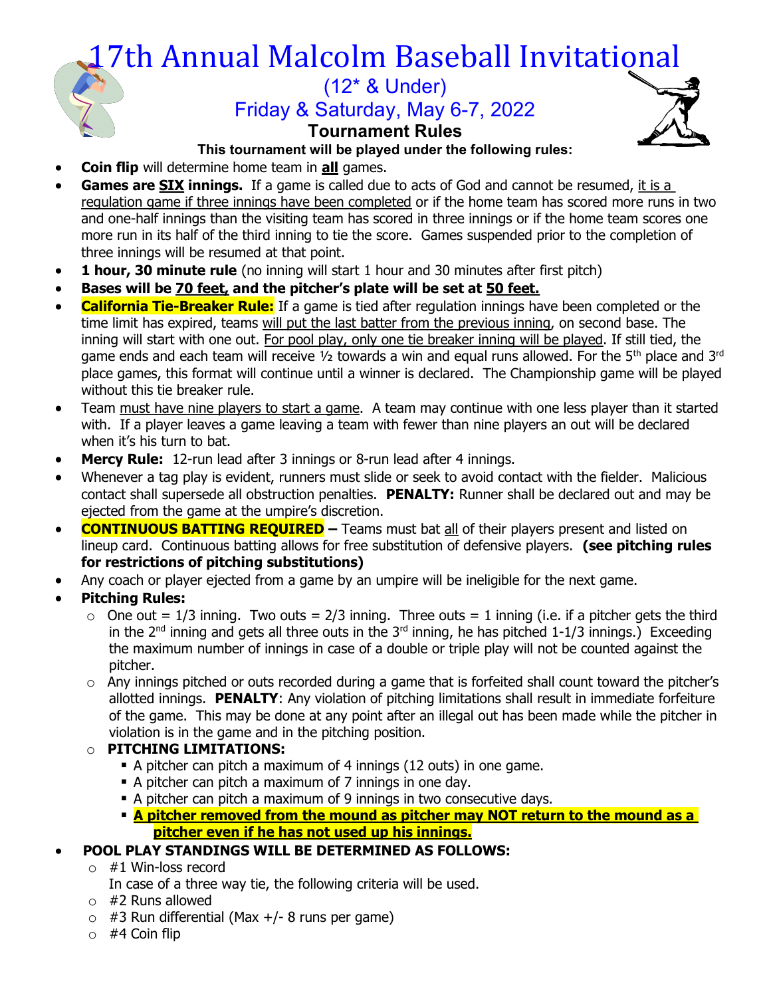## 17th Annual Malcolm Baseball Invitational (12\* & Under) Friday & Saturday, May 6-7, 2022 Tournament Rules



#### This tournament will be played under the following rules:

- Coin flip will determine home team in all games.
- Games are SIX innings. If a game is called due to acts of God and cannot be resumed, it is a regulation game if three innings have been completed or if the home team has scored more runs in two and one-half innings than the visiting team has scored in three innings or if the home team scores one more run in its half of the third inning to tie the score. Games suspended prior to the completion of three innings will be resumed at that point.
- 1 hour, 30 minute rule (no inning will start 1 hour and 30 minutes after first pitch)
- Bases will be 70 feet, and the pitcher's plate will be set at 50 feet.
- California Tie-Breaker Rule: If a game is tied after regulation innings have been completed or the time limit has expired, teams will put the last batter from the previous inning, on second base. The inning will start with one out. For pool play, only one tie breaker inning will be played. If still tied, the game ends and each team will receive  $\frac{1}{2}$  towards a win and equal runs allowed. For the 5<sup>th</sup> place and 3<sup>rd</sup> place games, this format will continue until a winner is declared. The Championship game will be played without this tie breaker rule.
- Team must have nine players to start a game. A team may continue with one less player than it started with. If a player leaves a game leaving a team with fewer than nine players an out will be declared when it's his turn to bat.
- Mercy Rule: 12-run lead after 3 innings or 8-run lead after 4 innings.
- Whenever a tag play is evident, runners must slide or seek to avoid contact with the fielder. Malicious contact shall supersede all obstruction penalties. PENALTY: Runner shall be declared out and may be ejected from the game at the umpire's discretion.
- CONTINUOUS BATTING REOUIRED Teams must bat all of their players present and listed on lineup card. Continuous batting allows for free substitution of defensive players. (see pitching rules for restrictions of pitching substitutions)
- Any coach or player ejected from a game by an umpire will be ineligible for the next game.
- Pitching Rules:
	- $\circ$  One out = 1/3 inning. Two outs = 2/3 inning. Three outs = 1 inning (i.e. if a pitcher gets the third in the  $2^{nd}$  inning and gets all three outs in the  $3^{rd}$  inning, he has pitched 1-1/3 innings.) Exceeding the maximum number of innings in case of a double or triple play will not be counted against the pitcher.
	- $\circ$  Any innings pitched or outs recorded during a game that is forfeited shall count toward the pitcher's allotted innings. PENALTY: Any violation of pitching limitations shall result in immediate forfeiture of the game. This may be done at any point after an illegal out has been made while the pitcher in violation is in the game and in the pitching position.

#### $\circ$  PITCHING LIMITATIONS:

- A pitcher can pitch a maximum of 4 innings (12 outs) in one game.
- A pitcher can pitch a maximum of 7 innings in one day.
- A pitcher can pitch a maximum of 9 innings in two consecutive days.
- **A** pitcher removed from the mound as pitcher may NOT return to the mound as a pitcher even if he has not used up his innings.
- POOL PLAY STANDINGS WILL BE DETERMINED AS FOLLOWS:
	- $\circ$  #1 Win-loss record
		- In case of a three way tie, the following criteria will be used.
	- $\circ$  #2 Runs allowed
	- $\circ$  #3 Run differential (Max +/- 8 runs per game)
	- $\circ$  #4 Coin flip